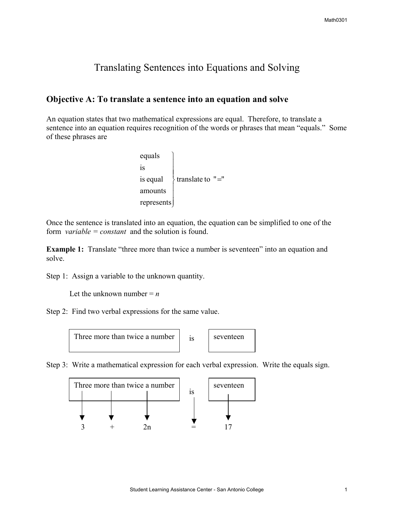# Translating Sentences into Equations and Solving

# **Objective A: To translate a sentence into an equation and solve**

An equation states that two mathematical expressions are equal. Therefore, to translate a sentence into an equation requires recognition of the words or phrases that mean "equals." Some of these phrases are

```
\{ translate to "="
 represents

amounts
is equal
is
equals
                              \overline{\phantom{a}}\overline{\phantom{a}}\overline{\phantom{a}}\overline{\phantom{a}}\overline{\phantom{a}}\overline{a}
```
Once the sentence is translated into an equation, the equation can be simplified to one of the form *variable = constant* and the solution is found.

**Example 1:** Translate "three more than twice a number is seventeen" into an equation and solve.

Step 1: Assign a variable to the unknown quantity.

Let the unknown number  $= n$ 

Step 2: Find two verbal expressions for the same value.



Step 3: Write a mathematical expression for each verbal expression. Write the equals sign.

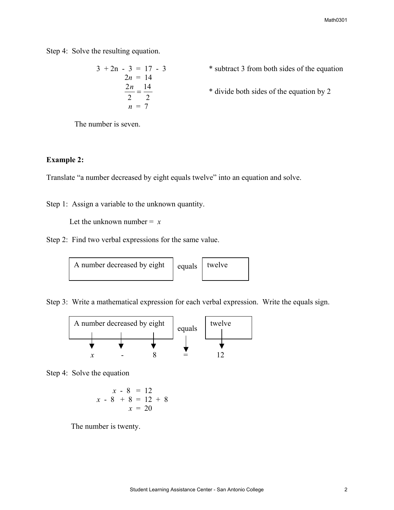Step 4: Solve the resulting equation.

$$
3 + 2n - 3 = 17 - 3
$$
  
\n
$$
2n = 14
$$
  
\n
$$
\frac{2n}{2} = \frac{14}{2}
$$
  
\n
$$
n = 7
$$
  
\n
$$
3 + 2n - 3 = 17 - 3
$$
  
\n
$$
3 + 2n - 3 = 14
$$
  
\n
$$
3 + 2n - 3 = 14
$$
  
\n
$$
4 \text{ divide both sides of the equation by 2}
$$

The number is seven.

#### **Example 2:**

Translate "a number decreased by eight equals twelve" into an equation and solve.

Step 1: Assign a variable to the unknown quantity.

Let the unknown number  $= x$ 

Step 2: Find two verbal expressions for the same value.



Step 3: Write a mathematical expression for each verbal expression. Write the equals sign.



Step 4: Solve the equation

$$
\begin{array}{rcl}\nx - 8 & = & 12 \\
x - 8 & + & 8 \\
x & = & 12 + 8 \\
x & = & 20\n\end{array}
$$

The number is twenty.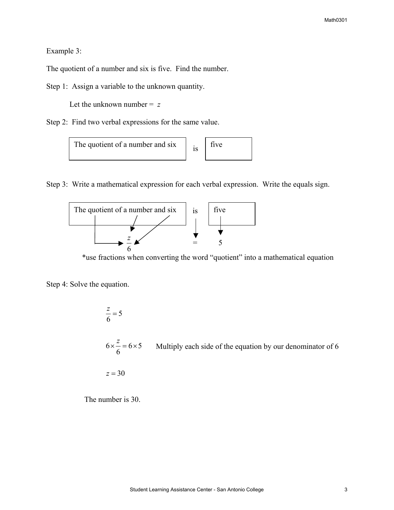#### Example 3:

The quotient of a number and six is five. Find the number.

Step 1: Assign a variable to the unknown quantity.

Let the unknown number  $= z$ 

Step 2: Find two verbal expressions for the same value.



Step 3: Write a mathematical expression for each verbal expression. Write the equals sign.



\*use fractions when converting the word "quotient" into a mathematical equation

Step 4: Solve the equation.

$$
\frac{z}{6} = 5
$$
  
6 ×  $\frac{z}{6} = 6 \times 5$  Multiply each side of the equation by our denominator of 6  
 $z = 30$ 

The number is 30.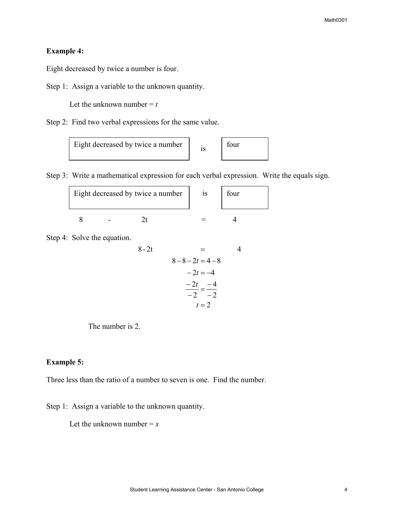# **Example 4:**

Eight decreased by twice a number is four.

Step 1: Assign a variable to the unknown quantity.

Let the unknown number  $= t$ 

Step 2: Find two verbal expressions for the same value.

|  | Eight decreased by twice a number |  | four |
|--|-----------------------------------|--|------|
|--|-----------------------------------|--|------|

Step 3: Write a mathematical expression for each verbal expression. Write the equals sign.

| Eight decreased by twice a number |  |  |  | 1S | four |  |
|-----------------------------------|--|--|--|----|------|--|
|                                   |  |  |  |    |      |  |

Step 4: Solve the equation.

8-2t = 4  
\n8-8-2t = 4-8  
\n-2t = -4  
\n
$$
\frac{-2t}{-2} = \frac{-4}{-2}
$$
\n
$$
t = 2
$$

The number is 2.

#### **Example 5:**

Three less than the ratio of a number to seven is one. Find the number.

Step 1: Assign a variable to the unknown quantity.

Let the unknown number  $=x$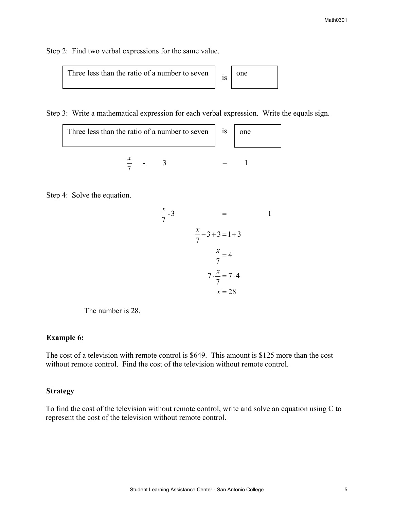Step 2: Find two verbal expressions for the same value.

| Three less than the ratio of a number to seven |  | l one |
|------------------------------------------------|--|-------|
|------------------------------------------------|--|-------|

Step 3: Write a mathematical expression for each verbal expression. Write the equals sign.

| Three less than the ratio of a number to seven $\parallel$ is |  |  |  |
|---------------------------------------------------------------|--|--|--|
|                                                               |  |  |  |

Step 4: Solve the equation.

$$
\frac{x}{7} - 3 = 1
$$
  

$$
\frac{x}{7} - 3 + 3 = 1 + 3
$$
  

$$
\frac{x}{7} = 4
$$
  

$$
7 \cdot \frac{x}{7} = 7 \cdot 4
$$
  

$$
x = 28
$$

The number is 28.

### **Example 6:**

The cost of a television with remote control is \$649. This amount is \$125 more than the cost without remote control. Find the cost of the television without remote control.

#### **Strategy**

To find the cost of the television without remote control, write and solve an equation using C to represent the cost of the television without remote control.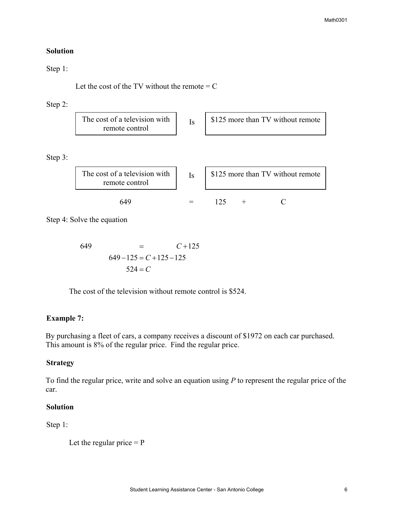### **Solution**

### Step 1:

Let the cost of the TV without the remote  $= C$ 

### Step 2:

| The cost of a television with<br>\$125 more than TV without remote<br>remote control |
|--------------------------------------------------------------------------------------|
|--------------------------------------------------------------------------------------|

Step 3:

| The cost of a television with<br>remote control | $I_{\mathcal{S}}$ | \$125 more than TV without remote |  |  |
|-------------------------------------------------|-------------------|-----------------------------------|--|--|
| 649                                             |                   |                                   |  |  |

Step 4: Solve the equation

$$
649 = C + 125
$$
  

$$
649 - 125 = C + 125 - 125
$$
  

$$
524 = C
$$

The cost of the television without remote control is \$524.

# **Example 7:**

By purchasing a fleet of cars, a company receives a discount of \$1972 on each car purchased. This amount is 8% of the regular price. Find the regular price.

# **Strategy**

To find the regular price, write and solve an equation using *P* to represent the regular price of the car.

## **Solution**

Step 1:

Let the regular price  $= P$